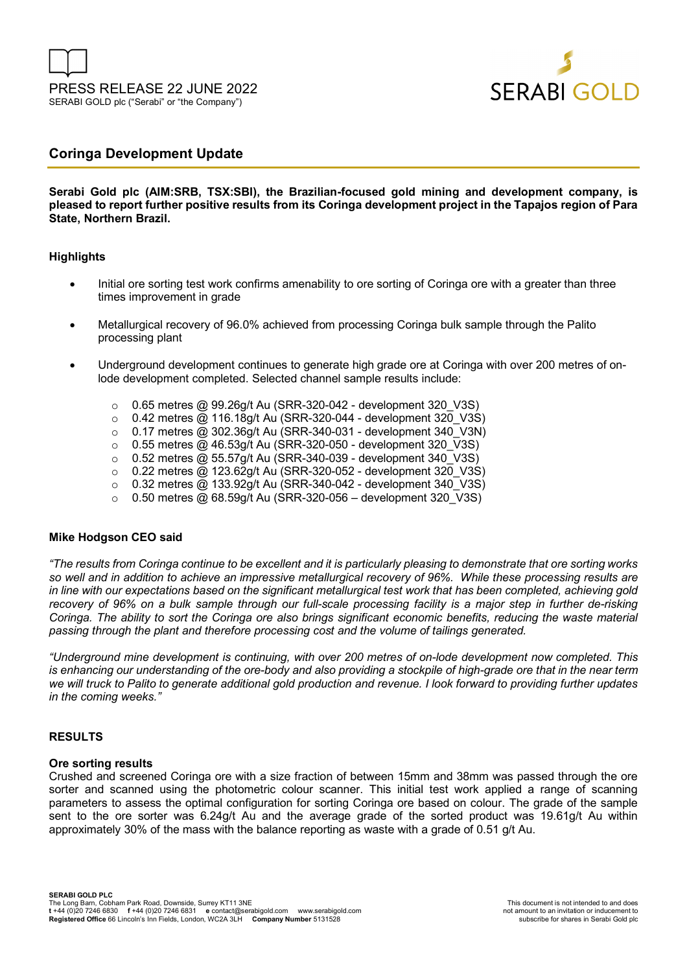



## **Coringa Development Update**

**Serabi Gold plc (AIM:SRB, TSX:SBI), the Brazilian-focused gold mining and development company, is pleased to report further positive results from its Coringa development project in the Tapajos region of Para State, Northern Brazil.** 

## **Highlights**

- Initial ore sorting test work confirms amenability to ore sorting of Coringa ore with a greater than three times improvement in grade
- Metallurgical recovery of 96.0% achieved from processing Coringa bulk sample through the Palito processing plant
- Underground development continues to generate high grade ore at Coringa with over 200 metres of onlode development completed. Selected channel sample results include:
	- $\circ$  0.65 metres @ 99.26q/t Au (SRR-320-042 development 320 V3S)
	- $\circ$  0.42 metres @ 116.18g/t Au (SRR-320-044 development 320 V3S)
	- $\circ$  0.17 metres @ 302.36g/t Au (SRR-340-031 development 340 V3N)
	- o 0.55 metres @ 46.53g/t Au (SRR-320-050 development 320\_V3S)
	- o 0.52 metres @ 55.57g/t Au (SRR-340-039 development 340\_V3S)
	- $\circ$  0.22 metres @ 123.62g/t Au (SRR-320-052 development 320\_V3S)<br>
	0.32 metres @ 133.92q/t Au (SRR-340-042 development 340\_V3S)
	- 0.32 metres  $\omega$  133.92g/t Au (SRR-340-042 development 340 V3S)
	- $\circ$  0.50 metres @ 68.59g/t Au (SRR-320-056 development 320\_V3S)

### **Mike Hodgson CEO said**

*"The results from Coringa continue to be excellent and it is particularly pleasing to demonstrate that ore sorting works so well and in addition to achieve an impressive metallurgical recovery of 96%. While these processing results are in line with our expectations based on the significant metallurgical test work that has been completed, achieving gold recovery of 96% on a bulk sample through our full-scale processing facility is a major step in further de-risking Coringa. The ability to sort the Coringa ore also brings significant economic benefits, reducing the waste material passing through the plant and therefore processing cost and the volume of tailings generated.* 

*"Underground mine development is continuing, with over 200 metres of on-lode development now completed. This is enhancing our understanding of the ore-body and also providing a stockpile of high-grade ore that in the near term we will truck to Palito to generate additional gold production and revenue. I look forward to providing further updates in the coming weeks."* 

## **RESULTS**

### **Ore sorting results**

Crushed and screened Coringa ore with a size fraction of between 15mm and 38mm was passed through the ore sorter and scanned using the photometric colour scanner. This initial test work applied a range of scanning parameters to assess the optimal configuration for sorting Coringa ore based on colour. The grade of the sample sent to the ore sorter was 6.24g/t Au and the average grade of the sorted product was 19.61g/t Au within approximately 30% of the mass with the balance reporting as waste with a grade of 0.51 g/t Au.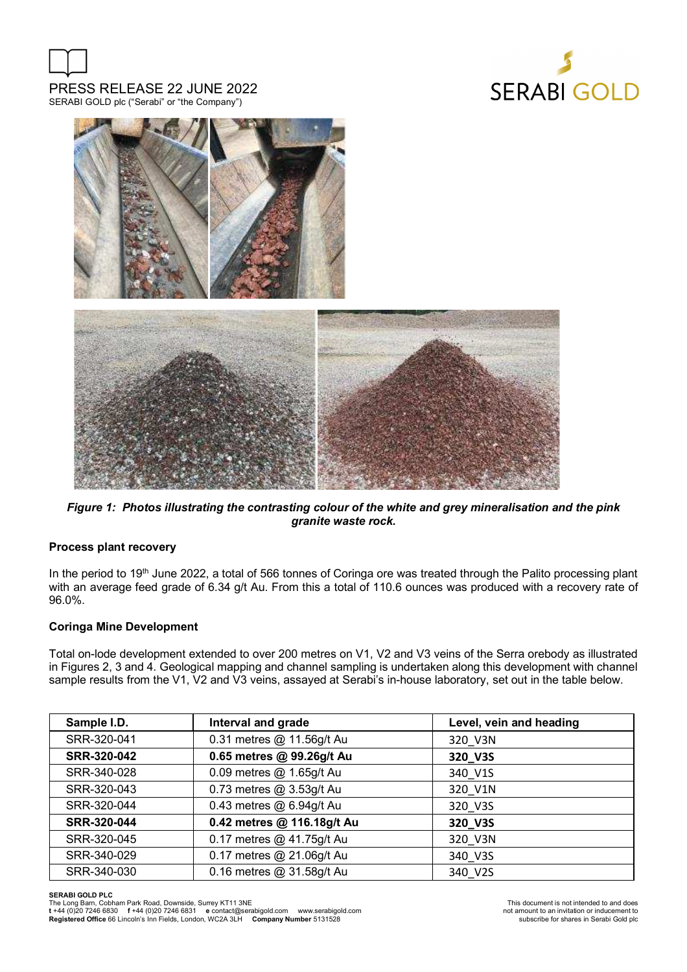





*Figure 1: Photos illustrating the contrasting colour of the white and grey mineralisation and the pink granite waste rock.* 

## **Process plant recovery**

In the period to 19<sup>th</sup> June 2022, a total of 566 tonnes of Coringa ore was treated through the Palito processing plant with an average feed grade of 6.34 g/t Au. From this a total of 110.6 ounces was produced with a recovery rate of 96.0%.

## **Coringa Mine Development**

Total on-lode development extended to over 200 metres on V1, V2 and V3 veins of the Serra orebody as illustrated in Figures 2, 3 and 4. Geological mapping and channel sampling is undertaken along this development with channel sample results from the V1, V2 and V3 veins, assayed at Serabi's in-house laboratory, set out in the table below.

| Sample I.D. | Interval and grade          | Level, vein and heading |
|-------------|-----------------------------|-------------------------|
| SRR-320-041 | 0.31 metres @ 11.56g/t Au   | 320 V3N                 |
| SRR-320-042 | 0.65 metres @ 99.26g/t Au   | 320_V3S                 |
| SRR-340-028 | 0.09 metres $@$ 1.65g/t Au  | 340 V1S                 |
| SRR-320-043 | 0.73 metres @ 3.53g/t Au    | 320 V1N                 |
| SRR-320-044 | 0.43 metres $@6.94g/t$ Au   | 320 V3S                 |
| SRR-320-044 | 0.42 metres @ 116.18g/t Au  | 320 V3S                 |
| SRR-320-045 | 0.17 metres $@$ 41.75g/t Au | 320 V3N                 |
| SRR-340-029 | 0.17 metres @ 21.06g/t Au   | 340 V3S                 |
| SRR-340-030 | 0.16 metres @ 31.58g/t Au   | 340 V2S                 |

### **SERABI GOLD PLC**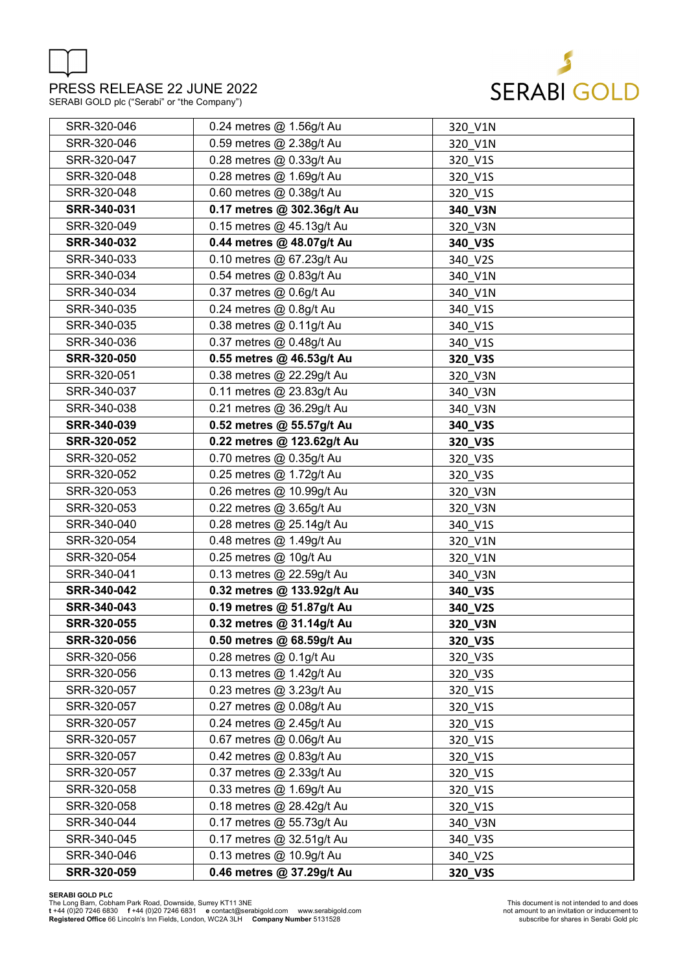## PRESS RELEASE 22 JUNE 2022 SERABI GOLD plc ("Serabi" or "the Company")



| SRR-320-046 | 0.24 metres @ 1.56g/t Au   | 320_V1N |
|-------------|----------------------------|---------|
| SRR-320-046 | 0.59 metres @ 2.38g/t Au   | 320_V1N |
| SRR-320-047 | 0.28 metres @ 0.33g/t Au   | 320 V1S |
| SRR-320-048 | 0.28 metres @ 1.69g/t Au   | 320 V1S |
| SRR-320-048 | 0.60 metres @ 0.38g/t Au   | 320 V1S |
| SRR-340-031 | 0.17 metres @ 302.36g/t Au | 340_V3N |
| SRR-320-049 | 0.15 metres @ 45.13g/t Au  | 320_V3N |
| SRR-340-032 | 0.44 metres @ 48.07g/t Au  | 340_V3S |
| SRR-340-033 | 0.10 metres @ 67.23g/t Au  | 340_V2S |
| SRR-340-034 | 0.54 metres @ 0.83g/t Au   | 340_V1N |
| SRR-340-034 | 0.37 metres @ 0.6g/t Au    | 340_V1N |
| SRR-340-035 | 0.24 metres @ 0.8g/t Au    | 340 V1S |
| SRR-340-035 | 0.38 metres @ 0.11g/t Au   | 340 V1S |
| SRR-340-036 | 0.37 metres @ 0.48g/t Au   | 340_V1S |
| SRR-320-050 | 0.55 metres @ 46.53g/t Au  | 320_V3S |
| SRR-320-051 | 0.38 metres @ 22.29g/t Au  | 320_V3N |
| SRR-340-037 | 0.11 metres @ 23.83g/t Au  | 340_V3N |
| SRR-340-038 | 0.21 metres @ 36.29g/t Au  | 340 V3N |
| SRR-340-039 | 0.52 metres @ 55.57g/t Au  | 340_V3S |
| SRR-320-052 | 0.22 metres @ 123.62g/t Au | 320_V3S |
| SRR-320-052 | 0.70 metres @ 0.35g/t Au   | 320 V3S |
| SRR-320-052 | 0.25 metres @ 1.72g/t Au   | 320_V3S |
| SRR-320-053 | 0.26 metres @ 10.99g/t Au  | 320_V3N |
| SRR-320-053 | 0.22 metres @ 3.65g/t Au   | 320_V3N |
| SRR-340-040 | 0.28 metres @ 25.14g/t Au  | 340_V1S |
| SRR-320-054 | 0.48 metres @ 1.49g/t Au   | 320 V1N |
| SRR-320-054 | 0.25 metres @ 10g/t Au     | 320_V1N |
| SRR-340-041 | 0.13 metres @ 22.59g/t Au  | 340 V3N |
| SRR-340-042 | 0.32 metres @ 133.92g/t Au | 340_V3S |
| SRR-340-043 | 0.19 metres @ 51.87g/t Au  | 340_V2S |
| SRR-320-055 | 0.32 metres @ 31.14g/t Au  | 320_V3N |
| SRR-320-056 | 0.50 metres @ 68.59g/t Au  | 320_V3S |
| SRR-320-056 | 0.28 metres @ 0.1g/t Au    | 320 V3S |
| SRR-320-056 | 0.13 metres @ 1.42g/t Au   | 320_V3S |
| SRR-320-057 | 0.23 metres @ 3.23g/t Au   | 320_V1S |
| SRR-320-057 | 0.27 metres @ 0.08g/t Au   | 320_V1S |
| SRR-320-057 | 0.24 metres @ 2.45g/t Au   | 320_V1S |
| SRR-320-057 | 0.67 metres @ 0.06g/t Au   | 320_V1S |
| SRR-320-057 | 0.42 metres @ 0.83g/t Au   | 320_V1S |
| SRR-320-057 | 0.37 metres @ 2.33g/t Au   | 320 V1S |
| SRR-320-058 | 0.33 metres @ 1.69g/t Au   | 320_V1S |
| SRR-320-058 | 0.18 metres @ 28.42g/t Au  | 320_V1S |
| SRR-340-044 | 0.17 metres @ 55.73g/t Au  | 340_V3N |
| SRR-340-045 | 0.17 metres @ 32.51g/t Au  | 340_V3S |
| SRR-340-046 | 0.13 metres @ 10.9g/t Au   | 340 V2S |
| SRR-320-059 | 0.46 metres @ 37.29g/t Au  | 320_V3S |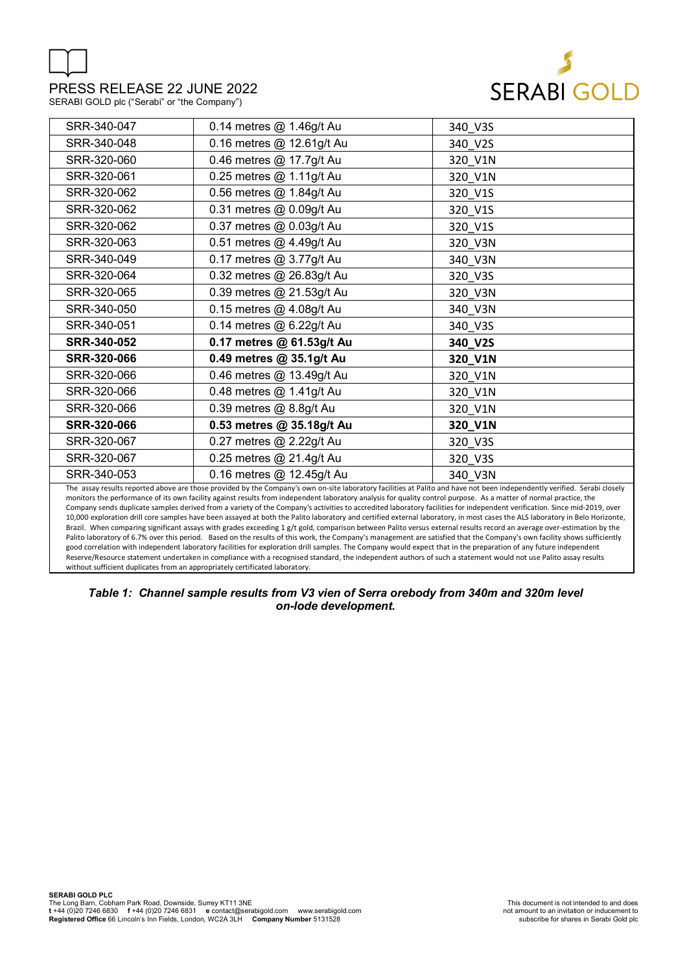## PRESS RELEASE 22 JUNE 2022





| SRR-340-047 | 0.14 metres @ 1.46g/t Au                                                                                                                                                                                                                                                                                                                                                                                                                                                                                                                                                                                                                                                                                                                                                                                                                                                                                                                                                                                                                                                                                                                                                                                                                | 340_V3S |
|-------------|-----------------------------------------------------------------------------------------------------------------------------------------------------------------------------------------------------------------------------------------------------------------------------------------------------------------------------------------------------------------------------------------------------------------------------------------------------------------------------------------------------------------------------------------------------------------------------------------------------------------------------------------------------------------------------------------------------------------------------------------------------------------------------------------------------------------------------------------------------------------------------------------------------------------------------------------------------------------------------------------------------------------------------------------------------------------------------------------------------------------------------------------------------------------------------------------------------------------------------------------|---------|
| SRR-340-048 | 0.16 metres @ 12.61g/t Au                                                                                                                                                                                                                                                                                                                                                                                                                                                                                                                                                                                                                                                                                                                                                                                                                                                                                                                                                                                                                                                                                                                                                                                                               | 340 V2S |
| SRR-320-060 | 0.46 metres @ 17.7g/t Au                                                                                                                                                                                                                                                                                                                                                                                                                                                                                                                                                                                                                                                                                                                                                                                                                                                                                                                                                                                                                                                                                                                                                                                                                | 320 V1N |
| SRR-320-061 | 0.25 metres @ 1.11g/t Au                                                                                                                                                                                                                                                                                                                                                                                                                                                                                                                                                                                                                                                                                                                                                                                                                                                                                                                                                                                                                                                                                                                                                                                                                | 320 V1N |
| SRR-320-062 | 0.56 metres @ 1.84g/t Au                                                                                                                                                                                                                                                                                                                                                                                                                                                                                                                                                                                                                                                                                                                                                                                                                                                                                                                                                                                                                                                                                                                                                                                                                | 320 V1S |
| SRR-320-062 | 0.31 metres @ 0.09g/t Au                                                                                                                                                                                                                                                                                                                                                                                                                                                                                                                                                                                                                                                                                                                                                                                                                                                                                                                                                                                                                                                                                                                                                                                                                | 320_V1S |
| SRR-320-062 | 0.37 metres @ 0.03g/t Au                                                                                                                                                                                                                                                                                                                                                                                                                                                                                                                                                                                                                                                                                                                                                                                                                                                                                                                                                                                                                                                                                                                                                                                                                | 320 V1S |
| SRR-320-063 | 0.51 metres @ 4.49g/t Au                                                                                                                                                                                                                                                                                                                                                                                                                                                                                                                                                                                                                                                                                                                                                                                                                                                                                                                                                                                                                                                                                                                                                                                                                | 320 V3N |
| SRR-340-049 | 0.17 metres @ 3.77g/t Au                                                                                                                                                                                                                                                                                                                                                                                                                                                                                                                                                                                                                                                                                                                                                                                                                                                                                                                                                                                                                                                                                                                                                                                                                | 340 V3N |
| SRR-320-064 | 0.32 metres @ 26.83g/t Au                                                                                                                                                                                                                                                                                                                                                                                                                                                                                                                                                                                                                                                                                                                                                                                                                                                                                                                                                                                                                                                                                                                                                                                                               | 320_V3S |
| SRR-320-065 | 0.39 metres @ 21.53g/t Au                                                                                                                                                                                                                                                                                                                                                                                                                                                                                                                                                                                                                                                                                                                                                                                                                                                                                                                                                                                                                                                                                                                                                                                                               | 320_V3N |
| SRR-340-050 | 0.15 metres @ 4.08g/t Au                                                                                                                                                                                                                                                                                                                                                                                                                                                                                                                                                                                                                                                                                                                                                                                                                                                                                                                                                                                                                                                                                                                                                                                                                | 340 V3N |
| SRR-340-051 | 0.14 metres @ 6.22g/t Au                                                                                                                                                                                                                                                                                                                                                                                                                                                                                                                                                                                                                                                                                                                                                                                                                                                                                                                                                                                                                                                                                                                                                                                                                | 340 V3S |
| SRR-340-052 | 0.17 metres @ 61.53g/t Au                                                                                                                                                                                                                                                                                                                                                                                                                                                                                                                                                                                                                                                                                                                                                                                                                                                                                                                                                                                                                                                                                                                                                                                                               | 340_V2S |
| SRR-320-066 | 0.49 metres @ 35.1g/t Au                                                                                                                                                                                                                                                                                                                                                                                                                                                                                                                                                                                                                                                                                                                                                                                                                                                                                                                                                                                                                                                                                                                                                                                                                | 320_V1N |
| SRR-320-066 | 0.46 metres @ 13.49g/t Au                                                                                                                                                                                                                                                                                                                                                                                                                                                                                                                                                                                                                                                                                                                                                                                                                                                                                                                                                                                                                                                                                                                                                                                                               | 320 V1N |
| SRR-320-066 | 0.48 metres @ 1.41g/t Au                                                                                                                                                                                                                                                                                                                                                                                                                                                                                                                                                                                                                                                                                                                                                                                                                                                                                                                                                                                                                                                                                                                                                                                                                | 320_V1N |
| SRR-320-066 | 0.39 metres @ 8.8g/t Au                                                                                                                                                                                                                                                                                                                                                                                                                                                                                                                                                                                                                                                                                                                                                                                                                                                                                                                                                                                                                                                                                                                                                                                                                 | 320 V1N |
| SRR-320-066 | 0.53 metres @ 35.18g/t Au                                                                                                                                                                                                                                                                                                                                                                                                                                                                                                                                                                                                                                                                                                                                                                                                                                                                                                                                                                                                                                                                                                                                                                                                               | 320_V1N |
| SRR-320-067 | 0.27 metres @ 2.22g/t Au                                                                                                                                                                                                                                                                                                                                                                                                                                                                                                                                                                                                                                                                                                                                                                                                                                                                                                                                                                                                                                                                                                                                                                                                                | 320 V3S |
| SRR-320-067 | 0.25 metres @ 21.4g/t Au                                                                                                                                                                                                                                                                                                                                                                                                                                                                                                                                                                                                                                                                                                                                                                                                                                                                                                                                                                                                                                                                                                                                                                                                                | 320 V3S |
| SRR-340-053 | 0.16 metres @ 12.45g/t Au                                                                                                                                                                                                                                                                                                                                                                                                                                                                                                                                                                                                                                                                                                                                                                                                                                                                                                                                                                                                                                                                                                                                                                                                               | 340 V3N |
|             | The assay results reported above are those provided by the Company's own on-site laboratory facilities at Palito and have not been independently verified. Serabi closely<br>monitors the performance of its own facility against results from independent laboratory analysis for quality control purpose. As a matter of normal practice, the<br>Company sends duplicate samples derived from a variety of the Company's activities to accredited laboratory facilities for independent verification. Since mid-2019, over<br>10,000 exploration drill core samples have been assayed at both the Palito laboratory and certified external laboratory, in most cases the ALS laboratory in Belo Horizonte,<br>Brazil. When comparing significant assays with grades exceeding 1 g/t gold, comparison between Palito versus external results record an average over-estimation by the<br>Palito laboratory of 6.7% over this period. Based on the results of this work, the Company's management are satisfied that the Company's own facility shows sufficiently<br>good correlation with independent laboratory facilities for exploration drill samples. The Company would expect that in the preparation of any future independent |         |

Reserve/Resource statement undertaken in compliance with a recognised standard, the independent authors of such a statement would not use Palito assay results without sufficient duplicates from an appropriately certificated laboratory.

*Table 1: Channel sample results from V3 vien of Serra orebody from 340m and 320m level on-lode development.*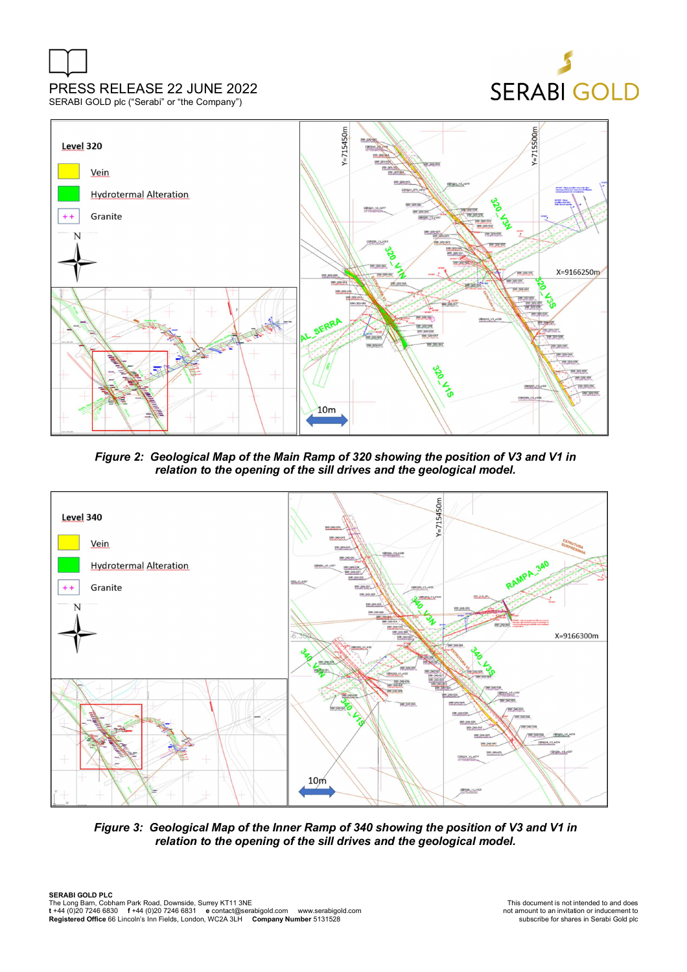## PRESS RELEASE 22 JUNE 2022

SERABI GOLD plc ("Serabi" or "the Company")





*Figure 2: Geological Map of the Main Ramp of 320 showing the position of V3 and V1 in relation to the opening of the sill drives and the geological model.* 



*Figure 3: Geological Map of the Inner Ramp of 340 showing the position of V3 and V1 in relation to the opening of the sill drives and the geological model.*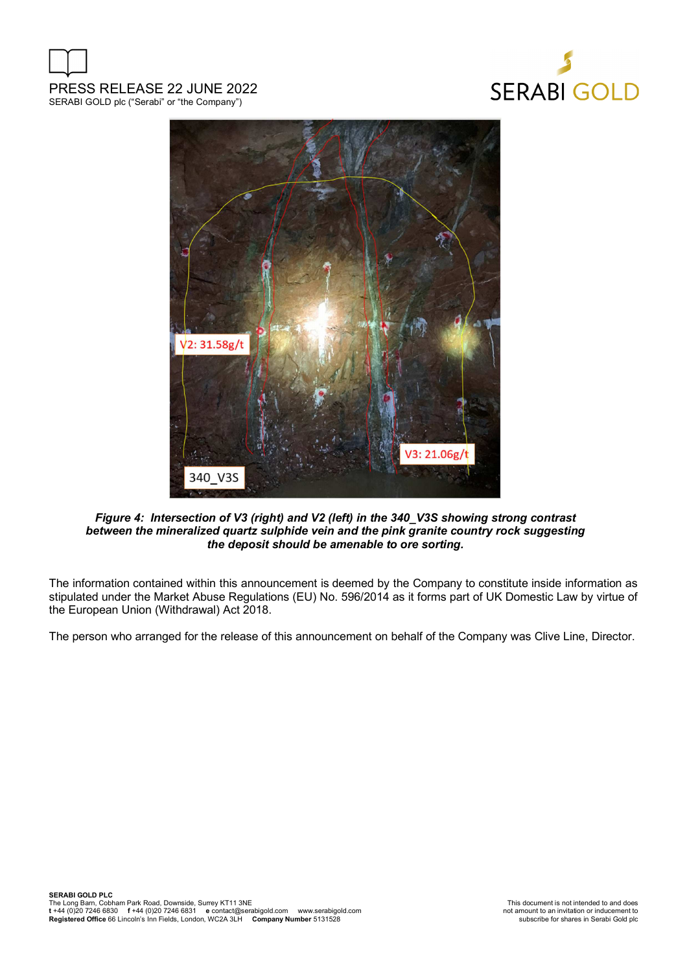





*Figure 4: Intersection of V3 (right) and V2 (left) in the 340\_V3S showing strong contrast between the mineralized quartz sulphide vein and the pink granite country rock suggesting the deposit should be amenable to ore sorting.* 

The information contained within this announcement is deemed by the Company to constitute inside information as stipulated under the Market Abuse Regulations (EU) No. 596/2014 as it forms part of UK Domestic Law by virtue of the European Union (Withdrawal) Act 2018.

The person who arranged for the release of this announcement on behalf of the Company was Clive Line, Director.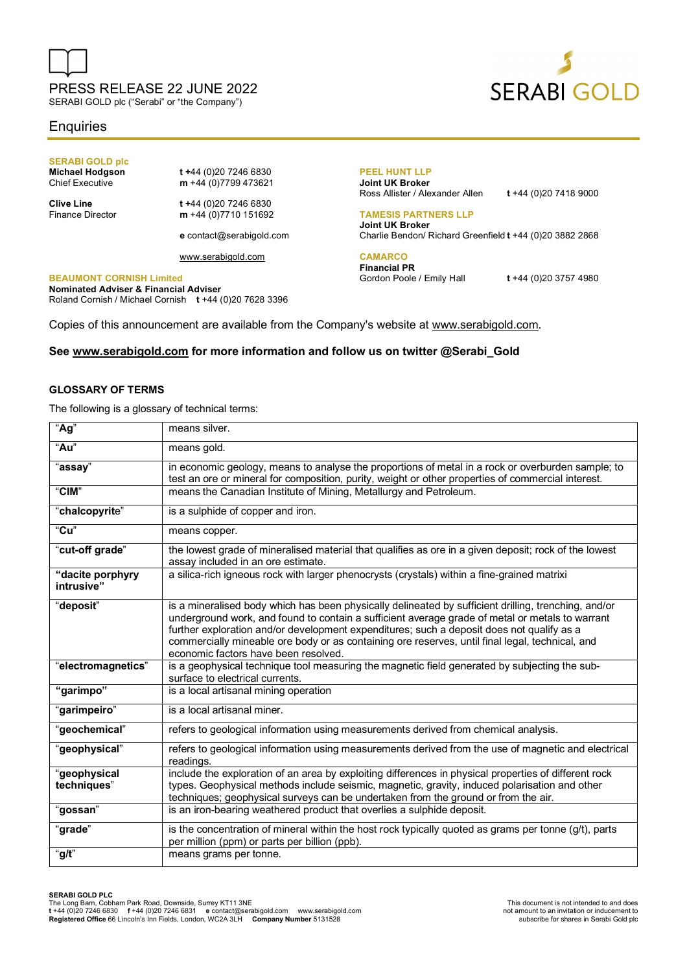

SERABI GOLD plc ("Serabi" or "the Company")

## **Enquiries**

# **SERABI GOLD plc**

**Michael Hodgson t +**44 (0)20 7246 6830<br>Chief Executive **m** +44 (0)7799 473621 m +44 (0)7799 473621

**Clive Line** t +44 (0)20 7246 6830<br>Finance Director **m** +44 (0)7710 151692 m +44 (0)7710 151692

**e** contact@serabigold.com

www.serabigold.com

## **BEAUMONT CORNISH Limited**

**Nominated Adviser & Financial Adviser**  Roland Cornish / Michael Cornish **t** +44 (0)20 7628 3396

### **PEEL HUNT LLP Joint UK Broker**

Ross Allister / Alexander Allen **t** +44 (0)20 7418 9000

## **TAMESIS PARTNERS LLP**

**Joint UK Broker** Charlie Bendon/ Richard Greenfield **t** +44 (0)20 3882 2868

## **CAMARCO**

**Financial PR** Gordon Poole / Emily Hall **t** +44 (0)20 3757 4980

Copies of this announcement are available from the Company's website at www.serabigold.com.

## **See www.serabigold.com for more information and follow us on twitter @Serabi\_Gold**

## **GLOSSARY OF TERMS**

The following is a glossary of technical terms:

| "Ag"                           | means silver.                                                                                                                                                                                                                                                                                                                                                                                                                                   |
|--------------------------------|-------------------------------------------------------------------------------------------------------------------------------------------------------------------------------------------------------------------------------------------------------------------------------------------------------------------------------------------------------------------------------------------------------------------------------------------------|
| "Au"                           | means gold.                                                                                                                                                                                                                                                                                                                                                                                                                                     |
| "assay"                        | in economic geology, means to analyse the proportions of metal in a rock or overburden sample; to<br>test an ore or mineral for composition, purity, weight or other properties of commercial interest.                                                                                                                                                                                                                                         |
| "CIM"                          | means the Canadian Institute of Mining, Metallurgy and Petroleum.                                                                                                                                                                                                                                                                                                                                                                               |
| "chalcopyrite"                 | is a sulphide of copper and iron.                                                                                                                                                                                                                                                                                                                                                                                                               |
| "Cu"                           | means copper.                                                                                                                                                                                                                                                                                                                                                                                                                                   |
| "cut-off grade"                | the lowest grade of mineralised material that qualifies as ore in a given deposit; rock of the lowest<br>assay included in an ore estimate.                                                                                                                                                                                                                                                                                                     |
| "dacite porphyry<br>intrusive" | a silica-rich igneous rock with larger phenocrysts (crystals) within a fine-grained matrixi                                                                                                                                                                                                                                                                                                                                                     |
| "deposit"                      | is a mineralised body which has been physically delineated by sufficient drilling, trenching, and/or<br>underground work, and found to contain a sufficient average grade of metal or metals to warrant<br>further exploration and/or development expenditures; such a deposit does not qualify as a<br>commercially mineable ore body or as containing ore reserves, until final legal, technical, and<br>economic factors have been resolved. |
| "electromagnetics"             | is a geophysical technique tool measuring the magnetic field generated by subjecting the sub-<br>surface to electrical currents.                                                                                                                                                                                                                                                                                                                |
| "garimpo"                      | is a local artisanal mining operation                                                                                                                                                                                                                                                                                                                                                                                                           |
| "garimpeiro"                   | is a local artisanal miner.                                                                                                                                                                                                                                                                                                                                                                                                                     |
| "geochemical"                  | refers to geological information using measurements derived from chemical analysis.                                                                                                                                                                                                                                                                                                                                                             |
| "geophysical"                  | refers to geological information using measurements derived from the use of magnetic and electrical<br>readings.                                                                                                                                                                                                                                                                                                                                |
| "geophysical<br>techniques"    | include the exploration of an area by exploiting differences in physical properties of different rock<br>types. Geophysical methods include seismic, magnetic, gravity, induced polarisation and other<br>techniques; geophysical surveys can be undertaken from the ground or from the air.                                                                                                                                                    |
| "gossan"                       | is an iron-bearing weathered product that overlies a sulphide deposit.                                                                                                                                                                                                                                                                                                                                                                          |
| "grade"<br>"g/t"               | is the concentration of mineral within the host rock typically quoted as grams per tonne $(g/t)$ , parts<br>per million (ppm) or parts per billion (ppb).<br>means grams per tonne.                                                                                                                                                                                                                                                             |